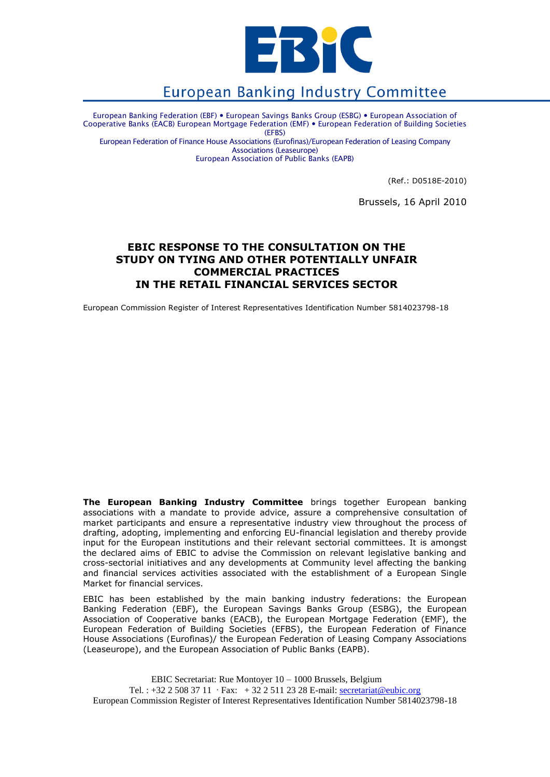

# **European Banking Industry Committee**

European Banking Federation (EBF) European Savings Banks Group (ESBG) European Association of Cooperative Banks (EACB) European Mortgage Federation (EMF) European Federation of Building Societies (EFBS)

European Federation of Finance House Associations (Eurofinas)/European Federation of Leasing Company Associations (Leaseurope)

European Association of Public Banks (EAPB)

(Ref.: D0518E-2010)

Brussels, 16 April 2010

# **EBIC RESPONSE TO THE CONSULTATION ON THE STUDY ON TYING AND OTHER POTENTIALLY UNFAIR COMMERCIAL PRACTICES IN THE RETAIL FINANCIAL SERVICES SECTOR**

European Commission Register of Interest Representatives Identification Number 5814023798-18

**The European Banking Industry Committee** brings together European banking associations with a mandate to provide advice, assure a comprehensive consultation of market participants and ensure a representative industry view throughout the process of drafting, adopting, implementing and enforcing EU-financial legislation and thereby provide input for the European institutions and their relevant sectorial committees. It is amongst the declared aims of EBIC to advise the Commission on relevant legislative banking and cross-sectorial initiatives and any developments at Community level affecting the banking and financial services activities associated with the establishment of a European Single Market for financial services.

EBIC has been established by the main banking industry federations: the European Banking Federation (EBF), the European Savings Banks Group (ESBG), the European Association of Cooperative banks (EACB), the European Mortgage Federation (EMF), the European Federation of Building Societies (EFBS), the European Federation of Finance House Associations (Eurofinas)/ the European Federation of Leasing Company Associations (Leaseurope), and the European Association of Public Banks (EAPB).

EBIC Secretariat: Rue Montoyer 10 – 1000 Brussels, Belgium Tel. : +32 2 508 37 11 Fax: + 32 2 511 23 28 E-mail: secretariat@eubic.org European Commission Register of Interest Representatives Identification Number 5814023798-18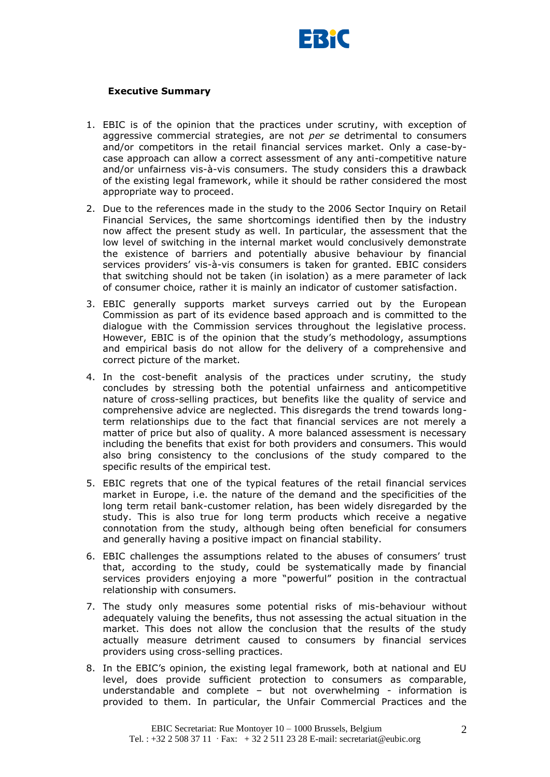

### **Executive Summary**

- 1. EBIC is of the opinion that the practices under scrutiny, with exception of aggressive commercial strategies, are not *per se* detrimental to consumers and/or competitors in the retail financial services market. Only a case-bycase approach can allow a correct assessment of any anti-competitive nature and/or unfairness vis-à-vis consumers. The study considers this a drawback of the existing legal framework, while it should be rather considered the most appropriate way to proceed.
- 2. Due to the references made in the study to the 2006 Sector Inquiry on Retail Financial Services, the same shortcomings identified then by the industry now affect the present study as well. In particular, the assessment that the low level of switching in the internal market would conclusively demonstrate the existence of barriers and potentially abusive behaviour by financial services providers' vis-à-vis consumers is taken for granted. EBIC considers that switching should not be taken (in isolation) as a mere parameter of lack of consumer choice, rather it is mainly an indicator of customer satisfaction.
- 3. EBIC generally supports market surveys carried out by the European Commission as part of its evidence based approach and is committed to the dialogue with the Commission services throughout the legislative process. However, EBIC is of the opinion that the study"s methodology, assumptions and empirical basis do not allow for the delivery of a comprehensive and correct picture of the market.
- 4. In the cost-benefit analysis of the practices under scrutiny, the study concludes by stressing both the potential unfairness and anticompetitive nature of cross-selling practices, but benefits like the quality of service and comprehensive advice are neglected. This disregards the trend towards longterm relationships due to the fact that financial services are not merely a matter of price but also of quality. A more balanced assessment is necessary including the benefits that exist for both providers and consumers. This would also bring consistency to the conclusions of the study compared to the specific results of the empirical test.
- 5. EBIC regrets that one of the typical features of the retail financial services market in Europe, i.e. the nature of the demand and the specificities of the long term retail bank-customer relation, has been widely disregarded by the study. This is also true for long term products which receive a negative connotation from the study, although being often beneficial for consumers and generally having a positive impact on financial stability.
- 6. EBIC challenges the assumptions related to the abuses of consumers" trust that, according to the study, could be systematically made by financial services providers enjoying a more "powerful" position in the contractual relationship with consumers.
- 7. The study only measures some potential risks of mis-behaviour without adequately valuing the benefits, thus not assessing the actual situation in the market. This does not allow the conclusion that the results of the study actually measure detriment caused to consumers by financial services providers using cross-selling practices.
- 8. In the EBIC"s opinion, the existing legal framework, both at national and EU level, does provide sufficient protection to consumers as comparable, understandable and complete – but not overwhelming - information is provided to them. In particular, the Unfair Commercial Practices and the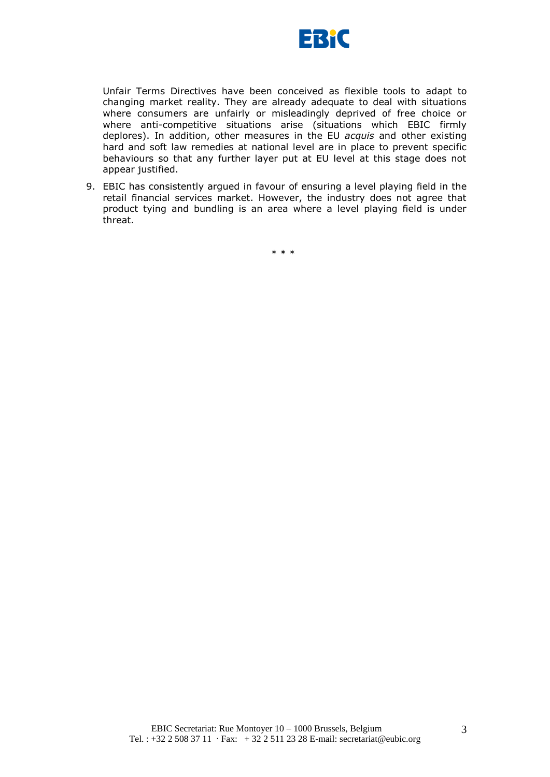

Unfair Terms Directives have been conceived as flexible tools to adapt to changing market reality. They are already adequate to deal with situations where consumers are unfairly or misleadingly deprived of free choice or where anti-competitive situations arise (situations which EBIC firmly deplores). In addition, other measures in the EU *acquis* and other existing hard and soft law remedies at national level are in place to prevent specific behaviours so that any further layer put at EU level at this stage does not appear justified.

9. EBIC has consistently argued in favour of ensuring a level playing field in the retail financial services market. However, the industry does not agree that product tying and bundling is an area where a level playing field is under threat.

\* \* \*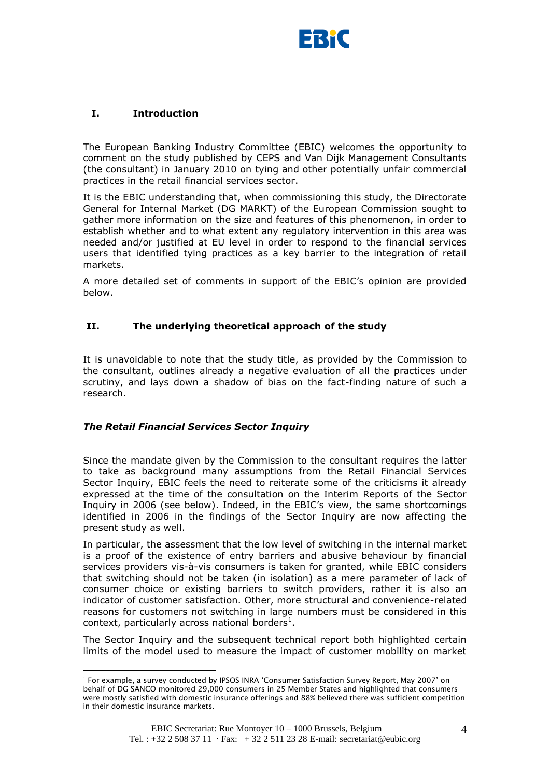

# **I. Introduction**

The European Banking Industry Committee (EBIC) welcomes the opportunity to comment on the study published by CEPS and Van Dijk Management Consultants (the consultant) in January 2010 on tying and other potentially unfair commercial practices in the retail financial services sector.

It is the EBIC understanding that, when commissioning this study, the Directorate General for Internal Market (DG MARKT) of the European Commission sought to gather more information on the size and features of this phenomenon, in order to establish whether and to what extent any regulatory intervention in this area was needed and/or justified at EU level in order to respond to the financial services users that identified tying practices as a key barrier to the integration of retail markets.

A more detailed set of comments in support of the EBIC"s opinion are provided below.

# **II. The underlying theoretical approach of the study**

It is unavoidable to note that the study title, as provided by the Commission to the consultant, outlines already a negative evaluation of all the practices under scrutiny, and lays down a shadow of bias on the fact-finding nature of such a research.

# *The Retail Financial Services Sector Inquiry*

1

Since the mandate given by the Commission to the consultant requires the latter to take as background many assumptions from the Retail Financial Services Sector Inquiry, EBIC feels the need to reiterate some of the criticisms it already expressed at the time of the consultation on the Interim Reports of the Sector Inquiry in 2006 (see below). Indeed, in the EBIC"s view, the same shortcomings identified in 2006 in the findings of the Sector Inquiry are now affecting the present study as well.

In particular, the assessment that the low level of switching in the internal market is a proof of the existence of entry barriers and abusive behaviour by financial services providers vis-à-vis consumers is taken for granted, while EBIC considers that switching should not be taken (in isolation) as a mere parameter of lack of consumer choice or existing barriers to switch providers, rather it is also an indicator of customer satisfaction. Other, more structural and convenience-related reasons for customers not switching in large numbers must be considered in this context, particularly across national borders<sup>1</sup>.

The Sector Inquiry and the subsequent technical report both highlighted certain limits of the model used to measure the impact of customer mobility on market

<sup>1</sup> For example, a survey conducted by IPSOS INRA "Consumer Satisfaction Survey Report, May 2007" on behalf of DG SANCO monitored 29,000 consumers in 25 Member States and highlighted that consumers were mostly satisfied with domestic insurance offerings and 88% believed there was sufficient competition in their domestic insurance markets.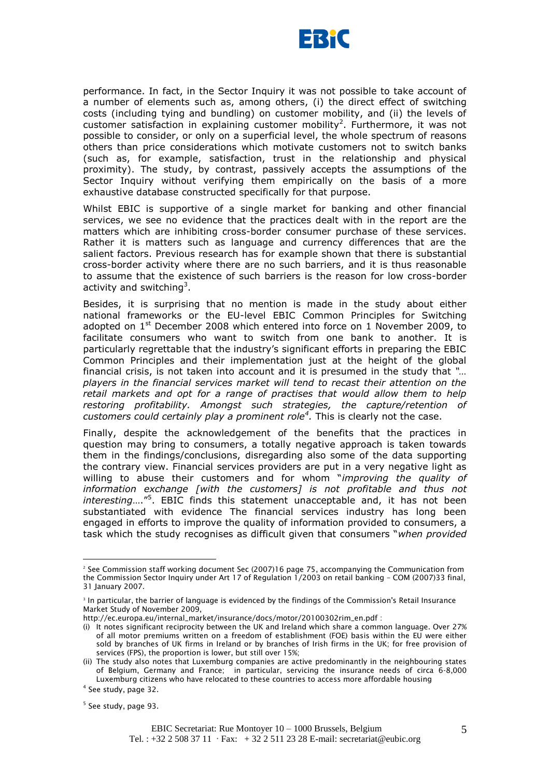

performance. In fact, in the Sector Inquiry it was not possible to take account of a number of elements such as, among others, (i) the direct effect of switching costs (including tying and bundling) on customer mobility, and (ii) the levels of customer satisfaction in explaining customer mobility<sup>2</sup>. Furthermore, it was not possible to consider, or only on a superficial level, the whole spectrum of reasons others than price considerations which motivate customers not to switch banks (such as, for example, satisfaction, trust in the relationship and physical proximity). The study, by contrast, passively accepts the assumptions of the Sector Inquiry without verifying them empirically on the basis of a more exhaustive database constructed specifically for that purpose.

Whilst EBIC is supportive of a single market for banking and other financial services, we see no evidence that the practices dealt with in the report are the matters which are inhibiting cross-border consumer purchase of these services. Rather it is matters such as language and currency differences that are the salient factors. Previous research has for example shown that there is substantial cross-border activity where there are no such barriers, and it is thus reasonable to assume that the existence of such barriers is the reason for low cross-border activity and switching<sup>3</sup>.

Besides, it is surprising that no mention is made in the study about either national frameworks or the EU-level EBIC Common Principles for Switching adopted on  $1<sup>st</sup>$  December 2008 which entered into force on 1 November 2009, to facilitate consumers who want to switch from one bank to another. It is particularly regrettable that the industry"s significant efforts in preparing the EBIC Common Principles and their implementation just at the height of the global financial crisis, is not taken into account and it is presumed in the study that *"… players in the financial services market will tend to recast their attention on the retail markets and opt for a range of practises that would allow them to help restoring profitability. Amongst such strategies, the capture/retention of customers could certainly play a prominent role<sup>4</sup> .* This is clearly not the case.

Finally, despite the acknowledgement of the benefits that the practices in question may bring to consumers, a totally negative approach is taken towards them in the findings/conclusions, disregarding also some of the data supporting the contrary view. Financial services providers are put in a very negative light as willing to abuse their customers and for whom "*improving the quality of information exchange [with the customers] is not profitable and thus not interesting*…."<sup>5</sup> . EBIC finds this statement unacceptable and, it has not been substantiated with evidence The financial services industry has long been engaged in efforts to improve the quality of information provided to consumers, a task which the study recognises as difficult given that consumers "*when provided* 

<sup>2</sup> See Commission staff working document Sec (2007)16 page 75, accompanying the Communication from the Commission Sector Inquiry under Art 17 of Regulation 1/2003 on retail banking – COM (2007)33 final, 31 January 2007.

<sup>3</sup> In particular, the barrier of language is evidenced by the findings of the Commission's Retail Insurance Market Study of November 2009,

http://ec.europa.eu/internal\_market/insurance/docs/motor/20100302rim\_en.pdf :

<sup>(</sup>i) It notes significant reciprocity between the UK and Ireland which share a common language. Over 27% of all motor premiums written on a freedom of establishment (FOE) basis within the EU were either sold by branches of UK firms in Ireland or by branches of Irish firms in the UK; for free provision of services (FPS), the proportion is lower, but still over 15%;

<sup>(</sup>ii) The study also notes that Luxemburg companies are active predominantly in the neighbouring states of Belgium, Germany and France; in particular, servicing the insurance needs of circa 6-8,000 Luxemburg citizens who have relocated to these countries to access more affordable housing

<sup>4</sup> See study, page 32.

<sup>&</sup>lt;sup>5</sup> See study, page 93.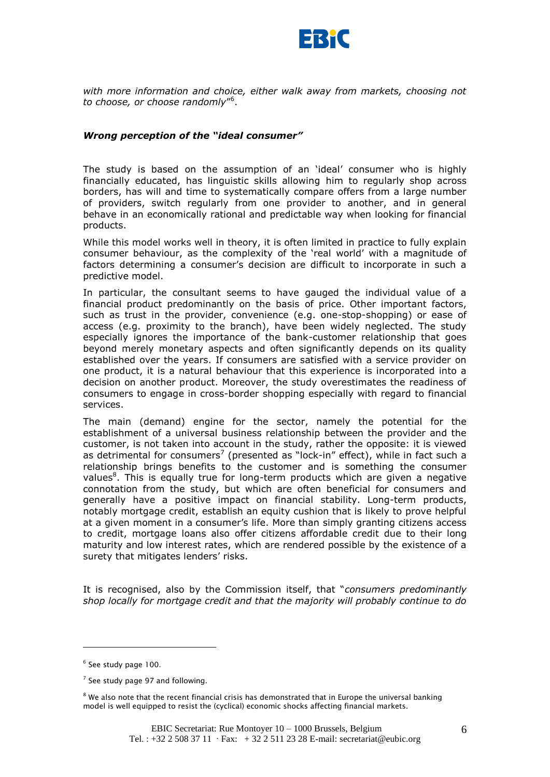

*with more information and choice, either walk away from markets, choosing not to choose, or choose randomly*" 6 .

#### *Wrong perception of the "ideal consumer"*

The study is based on the assumption of an "ideal" consumer who is highly financially educated, has linguistic skills allowing him to regularly shop across borders, has will and time to systematically compare offers from a large number of providers, switch regularly from one provider to another, and in general behave in an economically rational and predictable way when looking for financial products.

While this model works well in theory, it is often limited in practice to fully explain consumer behaviour, as the complexity of the "real world" with a magnitude of factors determining a consumer's decision are difficult to incorporate in such a predictive model.

In particular, the consultant seems to have gauged the individual value of a financial product predominantly on the basis of price. Other important factors, such as trust in the provider, convenience (e.g. one-stop-shopping) or ease of access (e.g. proximity to the branch), have been widely neglected. The study especially ignores the importance of the bank-customer relationship that goes beyond merely monetary aspects and often significantly depends on its quality established over the years. If consumers are satisfied with a service provider on one product, it is a natural behaviour that this experience is incorporated into a decision on another product. Moreover, the study overestimates the readiness of consumers to engage in cross-border shopping especially with regard to financial services.

The main (demand) engine for the sector, namely the potential for the establishment of a universal business relationship between the provider and the customer, is not taken into account in the study, rather the opposite: it is viewed as detrimental for consumers<sup>7</sup> (presented as "lock-in" effect), while in fact such a relationship brings benefits to the customer and is something the consumer values<sup>8</sup>. This is equally true for long-term products which are given a negative connotation from the study, but which are often beneficial for consumers and generally have a positive impact on financial stability. Long-term products, notably mortgage credit, establish an equity cushion that is likely to prove helpful at a given moment in a consumer's life. More than simply granting citizens access to credit, mortgage loans also offer citizens affordable credit due to their long maturity and low interest rates, which are rendered possible by the existence of a surety that mitigates lenders' risks.

It is recognised, also by the Commission itself, that "*consumers predominantly shop locally for mortgage credit and that the majority will probably continue to do* 

<sup>&</sup>lt;sup>6</sup> See study page 100.

 $7$  See study page 97 and following.

 $8$  We also note that the recent financial crisis has demonstrated that in Europe the universal banking model is well equipped to resist the (cyclical) economic shocks affecting financial markets.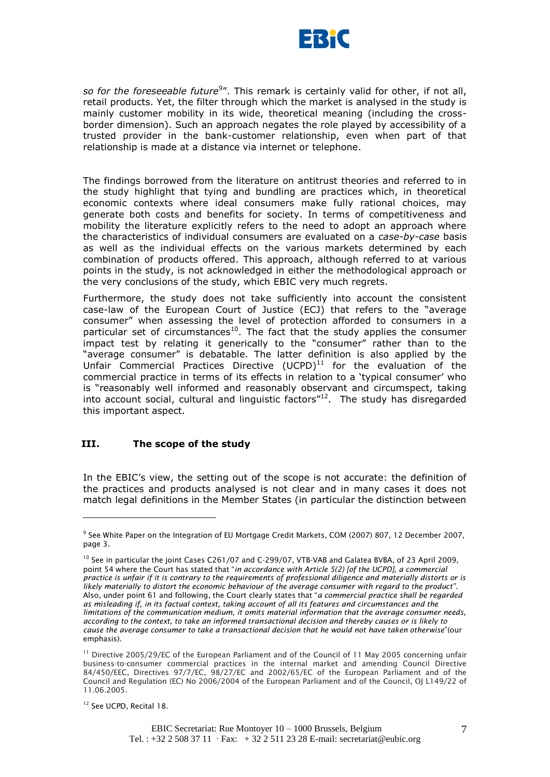

so for the foreseeable future<sup>9</sup>". This remark is certainly valid for other, if not all, retail products. Yet, the filter through which the market is analysed in the study is mainly customer mobility in its wide, theoretical meaning (including the crossborder dimension). Such an approach negates the role played by accessibility of a trusted provider in the bank-customer relationship, even when part of that relationship is made at a distance via internet or telephone.

The findings borrowed from the literature on antitrust theories and referred to in the study highlight that tying and bundling are practices which, in theoretical economic contexts where ideal consumers make fully rational choices, may generate both costs and benefits for society. In terms of competitiveness and mobility the literature explicitly refers to the need to adopt an approach where the characteristics of individual consumers are evaluated on a *case-by-case* basis as well as the individual effects on the various markets determined by each combination of products offered. This approach, although referred to at various points in the study, is not acknowledged in either the methodological approach or the very conclusions of the study, which EBIC very much regrets.

Furthermore, the study does not take sufficiently into account the consistent case-law of the European Court of Justice (ECJ) that refers to the "average consumer" when assessing the level of protection afforded to consumers in a particular set of circumstances<sup>10</sup>. The fact that the study applies the consumer impact test by relating it generically to the "consumer" rather than to the "average consumer" is debatable. The latter definition is also applied by the Unfair Commercial Practices Directive  $(UCPD)^{11}$  for the evaluation of the commercial practice in terms of its effects in relation to a "typical consumer" who is "reasonably well informed and reasonably observant and circumspect, taking into account social, cultural and linguistic factors"<sup>12</sup>. The study has disregarded this important aspect.

#### **III. The scope of the study**

In the EBIC's view, the setting out of the scope is not accurate: the definition of the practices and products analysed is not clear and in many cases it does not match legal definitions in the Member States (in particular the distinction between

<sup>&</sup>lt;sup>9</sup> See White Paper on the Integration of EU Mortgage Credit Markets, COM (2007) 807, 12 December 2007, page 3.

<sup>&</sup>lt;sup>10</sup> See in particular the joint Cases C261/07 and C-299/07, VTB-VAB and Galatea BVBA, of 23 April 2009, point 54 where the Court has stated that "*in accordance with Article 5(2) [of the UCPD], a commercial practice is unfair if it is contrary to the requirements of professional diligence and materially distorts or is likely materially to distort the economic behaviour of the average consumer with regard to the product"*. Also, under point 61 and following, the Court clearly states that "*a commercial practice shall be regarded as misleading if, in its factual context, taking account of all its features and circumstances and the limitations of the communication medium, it omits material information that the average consumer needs, according to the context, to take an informed transactional decision and thereby causes or is likely to cause the average consumer to take a transactional decision that he would not have taken otherwise*"(our emphasis).

<sup>&</sup>lt;sup>11</sup> Directive 2005/29/EC of the European Parliament and of the Council of 11 May 2005 concerning unfair business-to-consumer commercial practices in the internal market and amending Council Directive 84/450/EEC, Directives 97/7/EC, 98/27/EC and 2002/65/EC of the European Parliament and of the Council and Regulation (EC) No 2006/2004 of the European Parliament and of the Council, OJ L149/22 of 11.06.2005.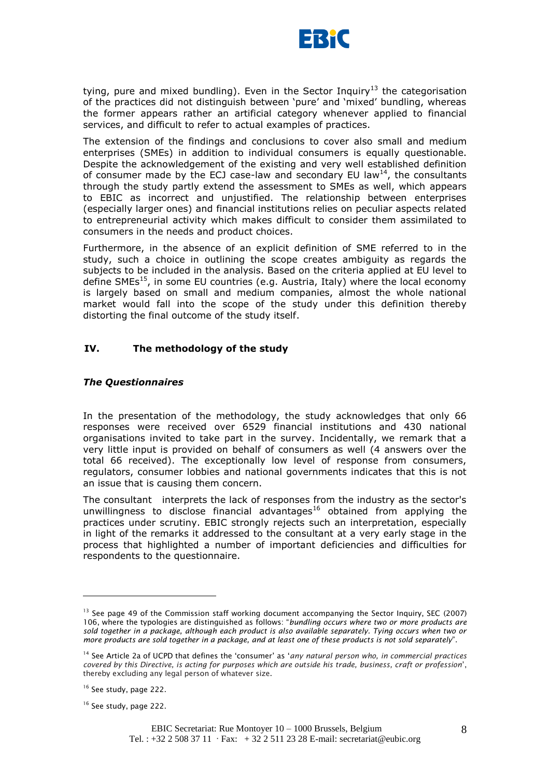

tying, pure and mixed bundling). Even in the Sector Inquiry<sup>13</sup> the categorisation of the practices did not distinguish between 'pure' and 'mixed' bundling, whereas the former appears rather an artificial category whenever applied to financial services, and difficult to refer to actual examples of practices.

The extension of the findings and conclusions to cover also small and medium enterprises (SMEs) in addition to individual consumers is equally questionable. Despite the acknowledgement of the existing and very well established definition of consumer made by the ECJ case-law and secondary EU law<sup>14</sup>, the consultants through the study partly extend the assessment to SMEs as well, which appears to EBIC as incorrect and unjustified. The relationship between enterprises (especially larger ones) and financial institutions relies on peculiar aspects related to entrepreneurial activity which makes difficult to consider them assimilated to consumers in the needs and product choices.

Furthermore, in the absence of an explicit definition of SME referred to in the study, such a choice in outlining the scope creates ambiguity as regards the subjects to be included in the analysis. Based on the criteria applied at EU level to define SMEs<sup>15</sup>, in some EU countries (e.g. Austria, Italy) where the local economy is largely based on small and medium companies, almost the whole national market would fall into the scope of the study under this definition thereby distorting the final outcome of the study itself.

# **IV. The methodology of the study**

# *The Questionnaires*

In the presentation of the methodology, the study acknowledges that only 66 responses were received over 6529 financial institutions and 430 national organisations invited to take part in the survey. Incidentally, we remark that a very little input is provided on behalf of consumers as well (4 answers over the total 66 received). The exceptionally low level of response from consumers, regulators, consumer lobbies and national governments indicates that this is not an issue that is causing them concern.

The consultant interprets the lack of responses from the industry as the sector's unwillingness to disclose financial advantages<sup>16</sup> obtained from applying the practices under scrutiny. EBIC strongly rejects such an interpretation, especially in light of the remarks it addressed to the consultant at a very early stage in the process that highlighted a number of important deficiencies and difficulties for respondents to the questionnaire.

<sup>&</sup>lt;sup>13</sup> See page 49 of the Commission staff working document accompanying the Sector Inquiry, SEC (2007) 106, where the typologies are distinguished as follows: "*bundling occurs where two or more products are sold together in a package, although each product is also available separately. Tying occurs when two or more products are sold together in a package, and at least one of these products is not sold separately*".

<sup>14</sup> See Article 2a of UCPD that defines the "consumer" as "*any natural person who, in commercial practices covered by this Directive, is acting for purposes which are outside his trade, business, craft or profession*", thereby excluding any legal person of whatever size.

<sup>&</sup>lt;sup>16</sup> See study, page 222.

<sup>&</sup>lt;sup>16</sup> See study, page 222.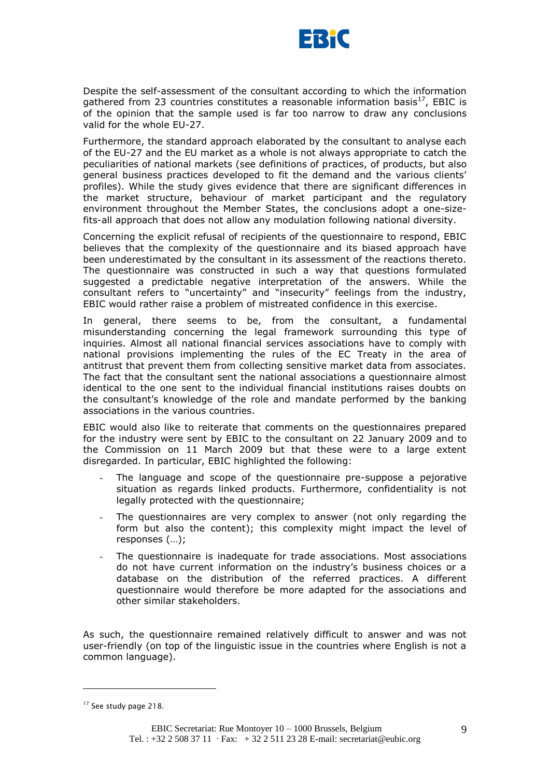

Despite the self-assessment of the consultant according to which the information gathered from 23 countries constitutes a reasonable information basis $^{17}$ , EBIC is of the opinion that the sample used is far too narrow to draw any conclusions valid for the whole EU-27.

Furthermore, the standard approach elaborated by the consultant to analyse each of the EU-27 and the EU market as a whole is not always appropriate to catch the peculiarities of national markets (see definitions of practices, of products, but also general business practices developed to fit the demand and the various clients' profiles). While the study gives evidence that there are significant differences in the market structure, behaviour of market participant and the regulatory environment throughout the Member States, the conclusions adopt a one-sizefits-all approach that does not allow any modulation following national diversity.

Concerning the explicit refusal of recipients of the questionnaire to respond, EBIC believes that the complexity of the questionnaire and its biased approach have been underestimated by the consultant in its assessment of the reactions thereto. The questionnaire was constructed in such a way that questions formulated suggested a predictable negative interpretation of the answers. While the consultant refers to "uncertainty" and "insecurity" feelings from the industry, EBIC would rather raise a problem of mistreated confidence in this exercise.

In general, there seems to be, from the consultant, a fundamental misunderstanding concerning the legal framework surrounding this type of inquiries. Almost all national financial services associations have to comply with national provisions implementing the rules of the EC Treaty in the area of antitrust that prevent them from collecting sensitive market data from associates. The fact that the consultant sent the national associations a questionnaire almost identical to the one sent to the individual financial institutions raises doubts on the consultant"s knowledge of the role and mandate performed by the banking associations in the various countries.

EBIC would also like to reiterate that comments on the questionnaires prepared for the industry were sent by EBIC to the consultant on 22 January 2009 and to the Commission on 11 March 2009 but that these were to a large extent disregarded. In particular, EBIC highlighted the following:

- The language and scope of the questionnaire pre-suppose a pejorative situation as regards linked products. Furthermore, confidentiality is not legally protected with the questionnaire;
- The questionnaires are very complex to answer (not only regarding the form but also the content); this complexity might impact the level of responses (…);
- The questionnaire is inadequate for trade associations. Most associations do not have current information on the industry"s business choices or a database on the distribution of the referred practices. A different questionnaire would therefore be more adapted for the associations and other similar stakeholders.

As such, the questionnaire remained relatively difficult to answer and was not user-friendly (on top of the linguistic issue in the countries where English is not a common language).

<sup>&</sup>lt;sup>17</sup> See study page 218.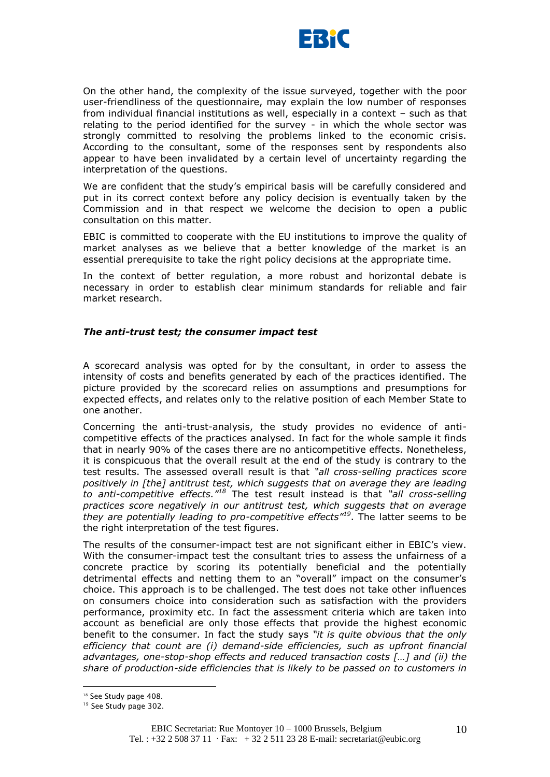

On the other hand, the complexity of the issue surveyed, together with the poor user-friendliness of the questionnaire, may explain the low number of responses from individual financial institutions as well, especially in a context – such as that relating to the period identified for the survey - in which the whole sector was strongly committed to resolving the problems linked to the economic crisis. According to the consultant, some of the responses sent by respondents also appear to have been invalidated by a certain level of uncertainty regarding the interpretation of the questions.

We are confident that the study's empirical basis will be carefully considered and put in its correct context before any policy decision is eventually taken by the Commission and in that respect we welcome the decision to open a public consultation on this matter.

EBIC is committed to cooperate with the EU institutions to improve the quality of market analyses as we believe that a better knowledge of the market is an essential prerequisite to take the right policy decisions at the appropriate time.

In the context of better regulation, a more robust and horizontal debate is necessary in order to establish clear minimum standards for reliable and fair market research.

#### *The anti-trust test; the consumer impact test*

A scorecard analysis was opted for by the consultant, in order to assess the intensity of costs and benefits generated by each of the practices identified. The picture provided by the scorecard relies on assumptions and presumptions for expected effects, and relates only to the relative position of each Member State to one another.

Concerning the anti-trust-analysis, the study provides no evidence of anticompetitive effects of the practices analysed. In fact for the whole sample it finds that in nearly 90% of the cases there are no anticompetitive effects. Nonetheless, it is conspicuous that the overall result at the end of the study is contrary to the test results. The assessed overall result is that *"all cross-selling practices score positively in [the] antitrust test, which suggests that on average they are leading to anti-competitive effects."<sup>18</sup>* The test result instead is that *"all cross-selling practices score negatively in our antitrust test, which suggests that on average they are potentially leading to pro-competitive effects"<sup>19</sup>*. The latter seems to be the right interpretation of the test figures.

The results of the consumer-impact test are not significant either in EBIC"s view. With the consumer-impact test the consultant tries to assess the unfairness of a concrete practice by scoring its potentially beneficial and the potentially detrimental effects and netting them to an "overall" impact on the consumer"s choice. This approach is to be challenged. The test does not take other influences on consumers choice into consideration such as satisfaction with the providers performance, proximity etc. In fact the assessment criteria which are taken into account as beneficial are only those effects that provide the highest economic benefit to the consumer. In fact the study says *"it is quite obvious that the only efficiency that count are (i) demand-side efficiencies, such as upfront financial advantages, one-stop-shop effects and reduced transaction costs […] and (ii) the share of production-side efficiencies that is likely to be passed on to customers in* 

<sup>&</sup>lt;sup>18</sup> See Study page 408.

<sup>&</sup>lt;sup>19</sup> See Study page 302.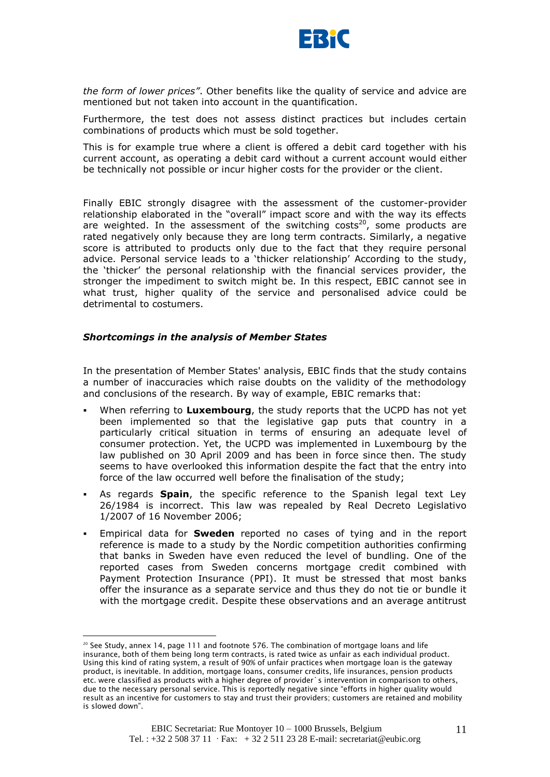

*the form of lower prices"*. Other benefits like the quality of service and advice are mentioned but not taken into account in the quantification.

Furthermore, the test does not assess distinct practices but includes certain combinations of products which must be sold together.

This is for example true where a client is offered a debit card together with his current account, as operating a debit card without a current account would either be technically not possible or incur higher costs for the provider or the client.

Finally EBIC strongly disagree with the assessment of the customer-provider relationship elaborated in the "overall" impact score and with the way its effects are weighted. In the assessment of the switching costs<sup>20</sup>, some products are rated negatively only because they are long term contracts. Similarly, a negative score is attributed to products only due to the fact that they require personal advice. Personal service leads to a "thicker relationship" According to the study, the "thicker" the personal relationship with the financial services provider, the stronger the impediment to switch might be. In this respect, EBIC cannot see in what trust, higher quality of the service and personalised advice could be detrimental to costumers.

#### *Shortcomings in the analysis of Member States*

1

In the presentation of Member States' analysis, EBIC finds that the study contains a number of inaccuracies which raise doubts on the validity of the methodology and conclusions of the research. By way of example, EBIC remarks that:

- When referring to **Luxembourg**, the study reports that the UCPD has not yet been implemented so that the legislative gap puts that country in a particularly critical situation in terms of ensuring an adequate level of consumer protection. Yet, the UCPD was implemented in Luxembourg by the law published on 30 April 2009 and has been in force since then. The study seems to have overlooked this information despite the fact that the entry into force of the law occurred well before the finalisation of the study;
- As regards **Spain**, the specific reference to the Spanish legal text Ley 26/1984 is incorrect. This law was repealed by Real Decreto Legislativo 1/2007 of 16 November 2006;
- Empirical data for **Sweden** reported no cases of tying and in the report reference is made to a study by the Nordic competition authorities confirming that banks in Sweden have even reduced the level of bundling. One of the reported cases from Sweden concerns mortgage credit combined with Payment Protection Insurance (PPI). It must be stressed that most banks offer the insurance as a separate service and thus they do not tie or bundle it with the mortgage credit. Despite these observations and an average antitrust

 $20$  See Study, annex 14, page 111 and footnote 576. The combination of mortgage loans and life insurance, both of them being long term contracts, is rated twice as unfair as each individual product. Using this kind of rating system, a result of 90% of unfair practices when mortgage loan is the gateway product, is inevitable. In addition, mortgage loans, consumer credits, life insurances, pension products etc. were classified as products with a higher degree of provider`s intervention in comparison to others, due to the necessary personal service. This is reportedly negative since "efforts in higher quality would result as an incentive for customers to stay and trust their providers; customers are retained and mobility is slowed down".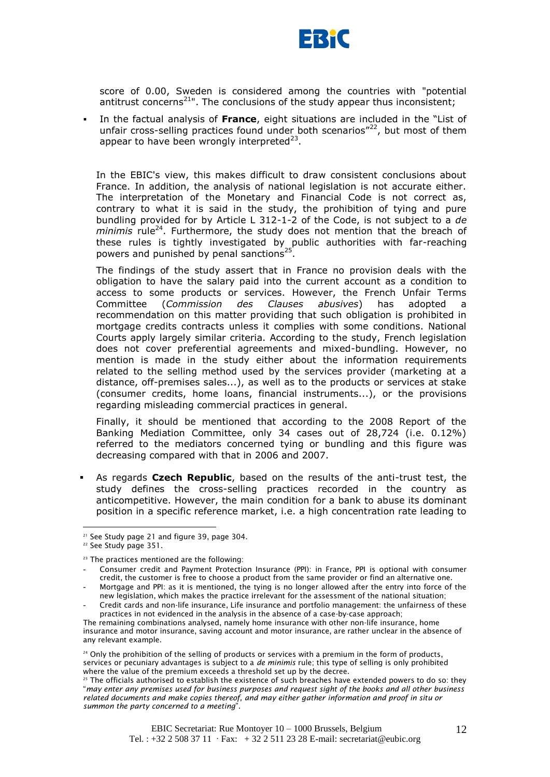

score of 0.00, Sweden is considered among the countries with "potential antitrust concerns<sup>21"</sup>. The conclusions of the study appear thus inconsistent;

 In the factual analysis of **France**, eight situations are included in the "List of unfair cross-selling practices found under both scenarios" $^{22}$ , but most of them appear to have been wrongly interpreted<sup>23</sup>.

In the EBIC's view, this makes difficult to draw consistent conclusions about France. In addition, the analysis of national legislation is not accurate either. The interpretation of the Monetary and Financial Code is not correct as, contrary to what it is said in the study, the prohibition of tying and pure bundling provided for by Article L 312-1-2 of the Code, is not subject to a *de minimis* rule<sup>24</sup>. Furthermore, the study does not mention that the breach of these rules is tightly investigated by public authorities with far-reaching powers and punished by penal sanctions<sup>25</sup>.

The findings of the study assert that in France no provision deals with the obligation to have the salary paid into the current account as a condition to access to some products or services. However, the French Unfair Terms Committee (*Commission des Clauses abusives*) has adopted a recommendation on this matter providing that such obligation is prohibited in mortgage credits contracts unless it complies with some conditions. National Courts apply largely similar criteria. According to the study, French legislation does not cover preferential agreements and mixed-bundling. However, no mention is made in the study either about the information requirements related to the selling method used by the services provider (marketing at a distance, off-premises sales...), as well as to the products or services at stake (consumer credits, home loans, financial instruments...), or the provisions regarding misleading commercial practices in general.

Finally, it should be mentioned that according to the 2008 Report of the Banking Mediation Committee, only 34 cases out of 28,724 (i.e. 0.12%) referred to the mediators concerned tying or bundling and this figure was decreasing compared with that in 2006 and 2007.

 As regards **Czech Republic**, based on the results of the anti-trust test, the study defines the cross-selling practices recorded in the country as anticompetitive. However, the main condition for a bank to abuse its dominant position in a specific reference market, i.e. a high concentration rate leading to

 $21$  See Study page 21 and figure 39, page 304.

<sup>&</sup>lt;sup>22</sup> See Study page 351.

<sup>&</sup>lt;sup>23</sup> The practices mentioned are the following:

Consumer credit and Payment Protection Insurance (PPI): in France, PPI is optional with consumer credit, the customer is free to choose a product from the same provider or find an alternative one.

Mortgage and PPI: as it is mentioned, the tying is no longer allowed after the entry into force of the new legislation, which makes the practice irrelevant for the assessment of the national situation;

<sup>-</sup> Credit cards and non-life insurance, Life insurance and portfolio management: the unfairness of these practices in not evidenced in the analysis in the absence of a case-by-case approach;

The remaining combinations analysed, namely home insurance with other non-life insurance, home insurance and motor insurance, saving account and motor insurance, are rather unclear in the absence of any relevant example.

<sup>&</sup>lt;sup>24</sup> Only the prohibition of the selling of products or services with a premium in the form of products, services or pecuniary advantages is subject to a *de minimis* rule; this type of selling is only prohibited where the value of the premium exceeds a threshold set up by the decree.

 $25$  The officials authorised to establish the existence of such breaches have extended powers to do so: they "*may enter any premises used for business purposes and request sight of the books and all other business related documents and make copies thereof, and may either gather information and proof in situ or summon the party concerned to a meeting*".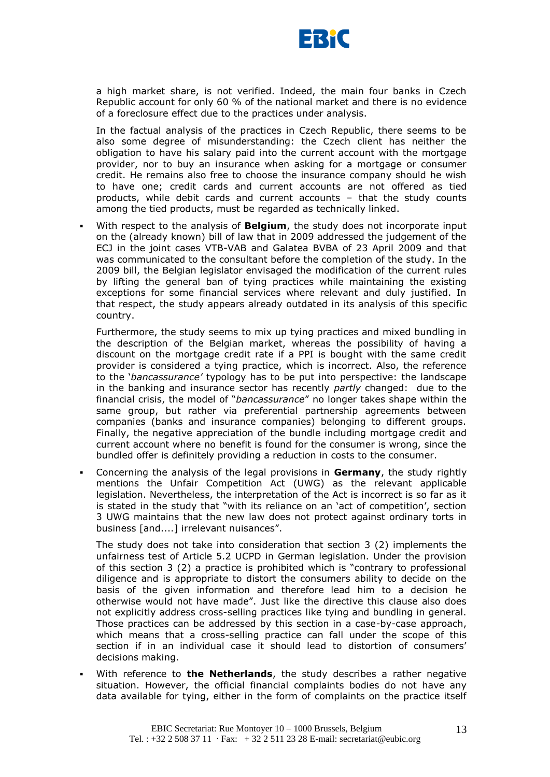

a high market share, is not verified. Indeed, the main four banks in Czech Republic account for only 60 % of the national market and there is no evidence of a foreclosure effect due to the practices under analysis.

In the factual analysis of the practices in Czech Republic, there seems to be also some degree of misunderstanding: the Czech client has neither the obligation to have his salary paid into the current account with the mortgage provider, nor to buy an insurance when asking for a mortgage or consumer credit. He remains also free to choose the insurance company should he wish to have one; credit cards and current accounts are not offered as tied products, while debit cards and current accounts – that the study counts among the tied products, must be regarded as technically linked.

 With respect to the analysis of **Belgium**, the study does not incorporate input on the (already known) bill of law that in 2009 addressed the judgement of the ECJ in the joint cases VTB-VAB and Galatea BVBA of 23 April 2009 and that was communicated to the consultant before the completion of the study. In the 2009 bill, the Belgian legislator envisaged the modification of the current rules by lifting the general ban of tying practices while maintaining the existing exceptions for some financial services where relevant and duly justified. In that respect, the study appears already outdated in its analysis of this specific country.

Furthermore, the study seems to mix up tying practices and mixed bundling in the description of the Belgian market, whereas the possibility of having a discount on the mortgage credit rate if a PPI is bought with the same credit provider is considered a tying practice, which is incorrect. Also, the reference to the "*bancassurance"* typology has to be put into perspective: the landscape in the banking and insurance sector has recently *partly* changed: due to the financial crisis, the model of "*bancassurance*" no longer takes shape within the same group, but rather via preferential partnership agreements between companies (banks and insurance companies) belonging to different groups. Finally, the negative appreciation of the bundle including mortgage credit and current account where no benefit is found for the consumer is wrong, since the bundled offer is definitely providing a reduction in costs to the consumer.

 Concerning the analysis of the legal provisions in **Germany**, the study rightly mentions the Unfair Competition Act (UWG) as the relevant applicable legislation. Nevertheless, the interpretation of the Act is incorrect is so far as it is stated in the study that "with its reliance on an "act of competition", section 3 UWG maintains that the new law does not protect against ordinary torts in business [and....] irrelevant nuisances".

The study does not take into consideration that section 3 (2) implements the unfairness test of Article 5.2 UCPD in German legislation. Under the provision of this section 3 (2) a practice is prohibited which is "contrary to professional diligence and is appropriate to distort the consumers ability to decide on the basis of the given information and therefore lead him to a decision he otherwise would not have made". Just like the directive this clause also does not explicitly address cross-selling practices like tying and bundling in general. Those practices can be addressed by this section in a case-by-case approach, which means that a cross-selling practice can fall under the scope of this section if in an individual case it should lead to distortion of consumers" decisions making.

 With reference to **the Netherlands**, the study describes a rather negative situation. However, the official financial complaints bodies do not have any data available for tying, either in the form of complaints on the practice itself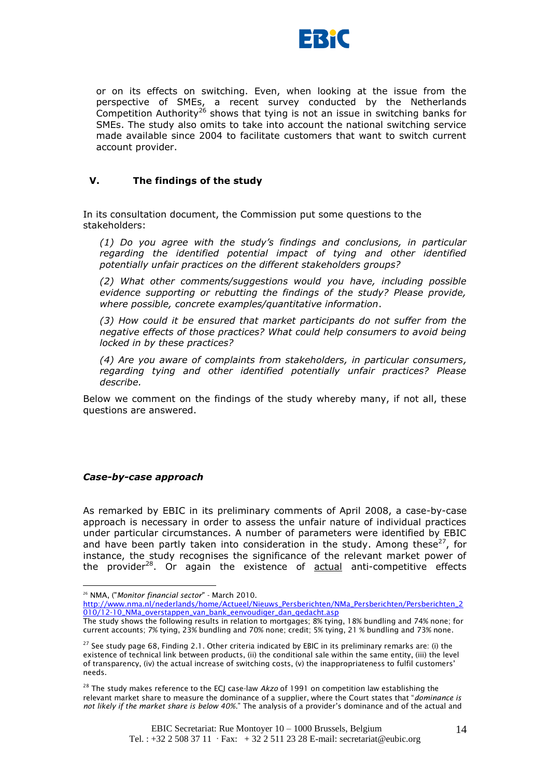

or on its effects on switching. Even, when looking at the issue from the perspective of SMEs, a recent survey conducted by the Netherlands Competition Authority<sup>26</sup> shows that tying is not an issue in switching banks for SMEs. The study also omits to take into account the national switching service made available since 2004 to facilitate customers that want to switch current account provider.

# **V. The findings of the study**

In its consultation document, the Commission put some questions to the stakeholders:

*(1) Do you agree with the study"s findings and conclusions, in particular regarding the identified potential impact of tying and other identified potentially unfair practices on the different stakeholders groups?*

*(2) What other comments/suggestions would you have, including possible evidence supporting or rebutting the findings of the study? Please provide, where possible, concrete examples/quantitative information*.

*(3) How could it be ensured that market participants do not suffer from the negative effects of those practices? What could help consumers to avoid being locked in by these practices?*

*(4) Are you aware of complaints from stakeholders, in particular consumers, regarding tying and other identified potentially unfair practices? Please describe.*

Below we comment on the findings of the study whereby many, if not all, these questions are answered.

#### *Case-by-case approach*

<u>.</u>

As remarked by EBIC in its preliminary comments of April 2008, a case-by-case approach is necessary in order to assess the unfair nature of individual practices under particular circumstances. A number of parameters were identified by EBIC and have been partly taken into consideration in the study. Among these<sup>27</sup>, for instance, the study recognises the significance of the relevant market power of the provider $28$ . Or again the existence of actual anti-competitive effects

<sup>26</sup> NMA, ("*Monitor financial sector*" - March 2010.

[http://www.nma.nl/nederlands/home/Actueel/Nieuws\\_Persberichten/NMa\\_Persberichten/Persberichten\\_2](http://www.nma.nl/nederlands/home/Actueel/Nieuws_Persberichten/NMa_Persberichten/Persberichten_2010/12-10_NMa_overstappen_van_bank_eenvoudiger_dan_gedacht.asp) [010/12-10\\_NMa\\_overstappen\\_van\\_bank\\_eenvoudiger\\_dan\\_gedacht.asp](http://www.nma.nl/nederlands/home/Actueel/Nieuws_Persberichten/NMa_Persberichten/Persberichten_2010/12-10_NMa_overstappen_van_bank_eenvoudiger_dan_gedacht.asp)

The study shows the following results in relation to mortgages; 8% tying, 18% bundling and 74% none; for current accounts; 7% tying, 23% bundling and 70% none; credit; 5% tying, 21 % bundling and 73% none.

 $27$  See study page 68, Finding 2.1. Other criteria indicated by EBIC in its preliminary remarks are: (i) the existence of technical link between products, (ii) the conditional sale within the same entity, (iii) the level of transparency, (iv) the actual increase of switching costs, (v) the inappropriateness to fulfil customers" needs.

<sup>28</sup> The study makes reference to the ECJ case-law *Akzo* of 1991 on competition law establishing the relevant market share to measure the dominance of a supplier, where the Court states that "*dominance is not likely if the market share is below 40%*." The analysis of a provider"s dominance and of the actual and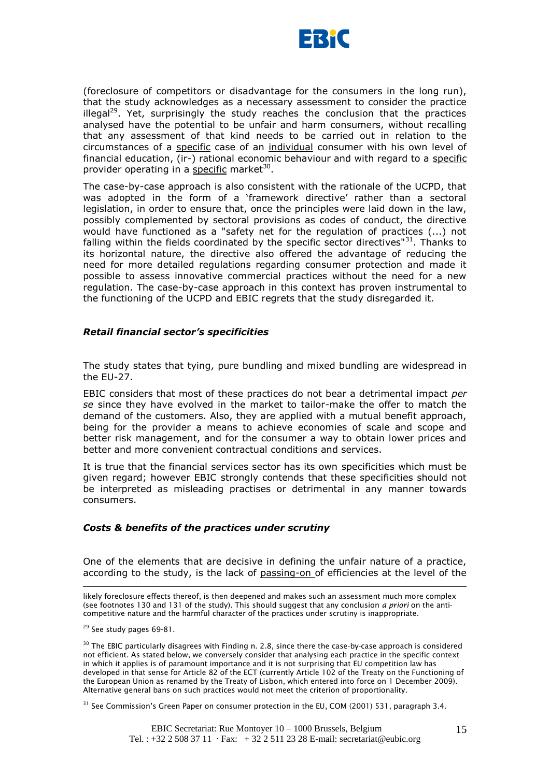

(foreclosure of competitors or disadvantage for the consumers in the long run), that the study acknowledges as a necessary assessment to consider the practice illegal<sup>29</sup>. Yet, surprisingly the study reaches the conclusion that the practices analysed have the potential to be unfair and harm consumers, without recalling that any assessment of that kind needs to be carried out in relation to the circumstances of a specific case of an individual consumer with his own level of financial education, (ir-) rational economic behaviour and with regard to a specific provider operating in a specific market<sup>30</sup>.

The case-by-case approach is also consistent with the rationale of the UCPD, that was adopted in the form of a 'framework directive' rather than a sectoral legislation, in order to ensure that, once the principles were laid down in the law, possibly complemented by sectoral provisions as codes of conduct, the directive would have functioned as a "safety net for the regulation of practices (...) not falling within the fields coordinated by the specific sector directives"<sup>31</sup>. Thanks to its horizontal nature, the directive also offered the advantage of reducing the need for more detailed regulations regarding consumer protection and made it possible to assess innovative commercial practices without the need for a new regulation. The case-by-case approach in this context has proven instrumental to the functioning of the UCPD and EBIC regrets that the study disregarded it.

#### *Retail financial sector"s specificities*

The study states that tying, pure bundling and mixed bundling are widespread in the EU-27.

EBIC considers that most of these practices do not bear a detrimental impact *per se* since they have evolved in the market to tailor-make the offer to match the demand of the customers. Also, they are applied with a mutual benefit approach, being for the provider a means to achieve economies of scale and scope and better risk management, and for the consumer a way to obtain lower prices and better and more convenient contractual conditions and services.

It is true that the financial services sector has its own specificities which must be given regard; however EBIC strongly contends that these specificities should not be interpreted as misleading practises or detrimental in any manner towards consumers.

#### *Costs & benefits of the practices under scrutiny*

One of the elements that are decisive in defining the unfair nature of a practice, according to the study, is the lack of passing-on of efficiencies at the level of the

likely foreclosure effects thereof, is then deepened and makes such an assessment much more complex (see footnotes 130 and 131 of the study). This should suggest that any conclusion *a priori* on the anticompetitive nature and the harmful character of the practices under scrutiny is inappropriate.

<sup>29</sup> See study pages 69-81.

1

<sup>30</sup> The EBIC particularly disagrees with Finding n. 2.8, since there the case-by-case approach is considered not efficient. As stated below, we conversely consider that analysing each practice in the specific context in which it applies is of paramount importance and it is not surprising that EU competition law has developed in that sense for Article 82 of the ECT (currently Article 102 of the Treaty on the Functioning of the European Union as renamed by the Treaty of Lisbon, which entered into force on 1 December 2009). Alternative general bans on such practices would not meet the criterion of proportionality.

 $31$  See Commission's Green Paper on consumer protection in the EU, COM (2001) 531, paragraph 3.4.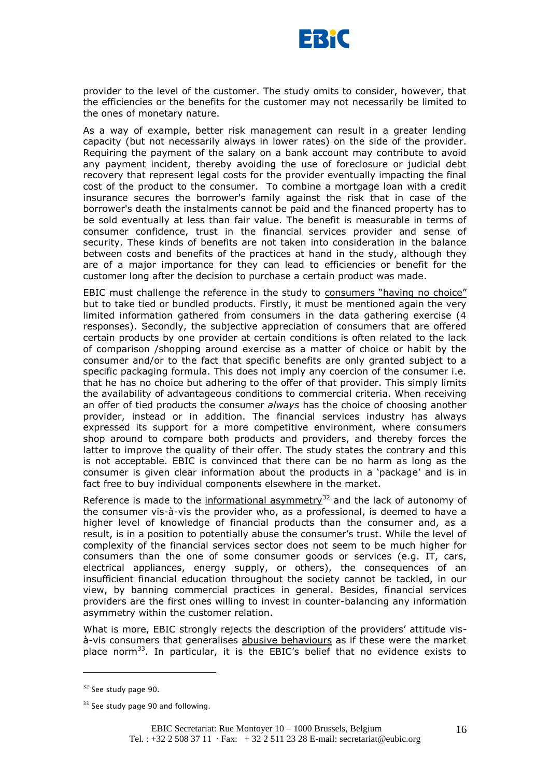

provider to the level of the customer. The study omits to consider, however, that the efficiencies or the benefits for the customer may not necessarily be limited to the ones of monetary nature.

As a way of example, better risk management can result in a greater lending capacity (but not necessarily always in lower rates) on the side of the provider. Requiring the payment of the salary on a bank account may contribute to avoid any payment incident, thereby avoiding the use of foreclosure or judicial debt recovery that represent legal costs for the provider eventually impacting the final cost of the product to the consumer. To combine a mortgage loan with a credit insurance secures the borrower's family against the risk that in case of the borrower's death the instalments cannot be paid and the financed property has to be sold eventually at less than fair value. The benefit is measurable in terms of consumer confidence, trust in the financial services provider and sense of security. These kinds of benefits are not taken into consideration in the balance between costs and benefits of the practices at hand in the study, although they are of a major importance for they can lead to efficiencies or benefit for the customer long after the decision to purchase a certain product was made.

EBIC must challenge the reference in the study to consumers "having no choice" but to take tied or bundled products. Firstly, it must be mentioned again the very limited information gathered from consumers in the data gathering exercise (4 responses). Secondly, the subjective appreciation of consumers that are offered certain products by one provider at certain conditions is often related to the lack of comparison /shopping around exercise as a matter of choice or habit by the consumer and/or to the fact that specific benefits are only granted subject to a specific packaging formula. This does not imply any coercion of the consumer i.e. that he has no choice but adhering to the offer of that provider. This simply limits the availability of advantageous conditions to commercial criteria. When receiving an offer of tied products the consumer *always* has the choice of choosing another provider, instead or in addition. The financial services industry has always expressed its support for a more competitive environment, where consumers shop around to compare both products and providers, and thereby forces the latter to improve the quality of their offer. The study states the contrary and this is not acceptable. EBIC is convinced that there can be no harm as long as the consumer is given clear information about the products in a "package" and is in fact free to buy individual components elsewhere in the market.

Reference is made to the informational asymmetry<sup>32</sup> and the lack of autonomy of the consumer vis-à-vis the provider who, as a professional, is deemed to have a higher level of knowledge of financial products than the consumer and, as a result, is in a position to potentially abuse the consumer's trust. While the level of complexity of the financial services sector does not seem to be much higher for consumers than the one of some consumer goods or services (e.g. IT, cars, electrical appliances, energy supply, or others), the consequences of an insufficient financial education throughout the society cannot be tackled, in our view, by banning commercial practices in general. Besides, financial services providers are the first ones willing to invest in counter-balancing any information asymmetry within the customer relation.

What is more, EBIC strongly rejects the description of the providers' attitude visà-vis consumers that generalises abusive behaviours as if these were the market place norm<sup>33</sup>. In particular, it is the EBIC's belief that no evidence exists to

<sup>&</sup>lt;sup>32</sup> See study page 90.

<sup>&</sup>lt;sup>33</sup> See study page 90 and following.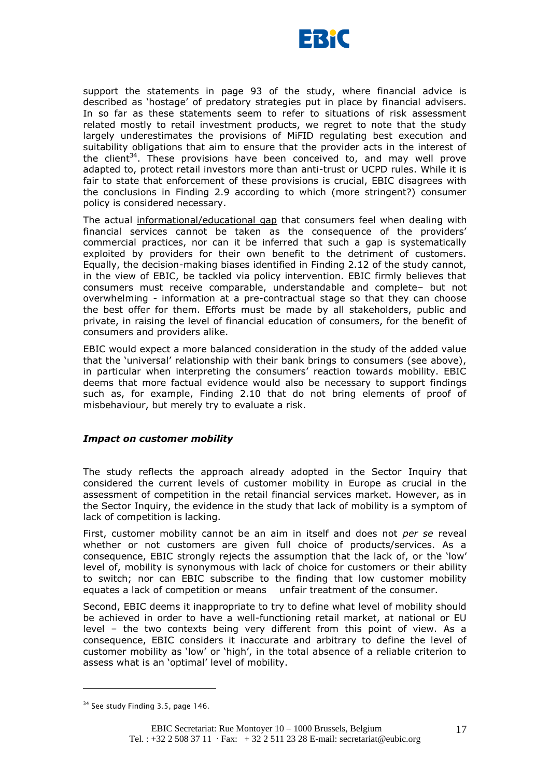

support the statements in page 93 of the study, where financial advice is described as "hostage" of predatory strategies put in place by financial advisers. In so far as these statements seem to refer to situations of risk assessment related mostly to retail investment products, we regret to note that the study largely underestimates the provisions of MiFID regulating best execution and suitability obligations that aim to ensure that the provider acts in the interest of the client<sup>34</sup>. These provisions have been conceived to, and may well prove adapted to, protect retail investors more than anti-trust or UCPD rules. While it is fair to state that enforcement of these provisions is crucial, EBIC disagrees with the conclusions in Finding 2.9 according to which (more stringent?) consumer policy is considered necessary.

The actual informational/educational gap that consumers feel when dealing with financial services cannot be taken as the consequence of the providers" commercial practices, nor can it be inferred that such a gap is systematically exploited by providers for their own benefit to the detriment of customers. Equally, the decision-making biases identified in Finding 2.12 of the study cannot, in the view of EBIC, be tackled via policy intervention. EBIC firmly believes that consumers must receive comparable, understandable and complete– but not overwhelming - information at a pre-contractual stage so that they can choose the best offer for them. Efforts must be made by all stakeholders, public and private, in raising the level of financial education of consumers, for the benefit of consumers and providers alike.

EBIC would expect a more balanced consideration in the study of the added value that the "universal" relationship with their bank brings to consumers (see above), in particular when interpreting the consumers' reaction towards mobility. EBIC deems that more factual evidence would also be necessary to support findings such as, for example, Finding 2.10 that do not bring elements of proof of misbehaviour, but merely try to evaluate a risk.

#### *Impact on customer mobility*

The study reflects the approach already adopted in the Sector Inquiry that considered the current levels of customer mobility in Europe as crucial in the assessment of competition in the retail financial services market. However, as in the Sector Inquiry, the evidence in the study that lack of mobility is a symptom of lack of competition is lacking.

First, customer mobility cannot be an aim in itself and does not *per se* reveal whether or not customers are given full choice of products/services. As a consequence, EBIC strongly rejects the assumption that the lack of, or the "low" level of, mobility is synonymous with lack of choice for customers or their ability to switch; nor can EBIC subscribe to the finding that low customer mobility equates a lack of competition or means unfair treatment of the consumer.

Second, EBIC deems it inappropriate to try to define what level of mobility should be achieved in order to have a well-functioning retail market, at national or EU level – the two contexts being very different from this point of view. As a consequence, EBIC considers it inaccurate and arbitrary to define the level of customer mobility as "low" or "high", in the total absence of a reliable criterion to assess what is an 'optimal' level of mobility.

<sup>&</sup>lt;sup>34</sup> See study Finding 3.5, page 146.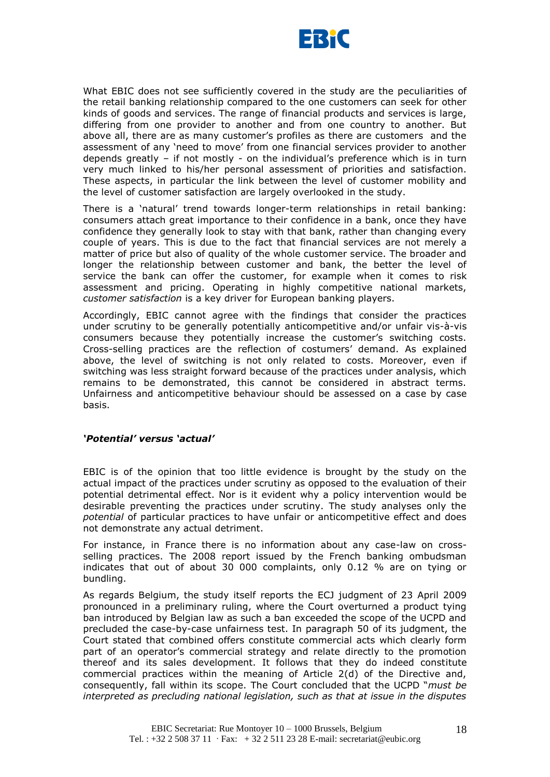

What EBIC does not see sufficiently covered in the study are the peculiarities of the retail banking relationship compared to the one customers can seek for other kinds of goods and services. The range of financial products and services is large, differing from one provider to another and from one country to another. But above all, there are as many customer"s profiles as there are customers and the assessment of any "need to move" from one financial services provider to another depends greatly – if not mostly - on the individual"s preference which is in turn very much linked to his/her personal assessment of priorities and satisfaction. These aspects, in particular the link between the level of customer mobility and the level of customer satisfaction are largely overlooked in the study.

There is a "natural" trend towards longer-term relationships in retail banking: consumers attach great importance to their confidence in a bank, once they have confidence they generally look to stay with that bank, rather than changing every couple of years. This is due to the fact that financial services are not merely a matter of price but also of quality of the whole customer service. The broader and longer the relationship between customer and bank, the better the level of service the bank can offer the customer, for example when it comes to risk assessment and pricing. Operating in highly competitive national markets, *customer satisfaction* is a key driver for European banking players.

Accordingly, EBIC cannot agree with the findings that consider the practices under scrutiny to be generally potentially anticompetitive and/or unfair vis-à-vis consumers because they potentially increase the customer's switching costs. Cross-selling practices are the reflection of costumers" demand. As explained above, the level of switching is not only related to costs. Moreover, even if switching was less straight forward because of the practices under analysis, which remains to be demonstrated, this cannot be considered in abstract terms. Unfairness and anticompetitive behaviour should be assessed on a case by case basis.

# *"Potential" versus "actual"*

EBIC is of the opinion that too little evidence is brought by the study on the actual impact of the practices under scrutiny as opposed to the evaluation of their potential detrimental effect. Nor is it evident why a policy intervention would be desirable preventing the practices under scrutiny. The study analyses only the *potential* of particular practices to have unfair or anticompetitive effect and does not demonstrate any actual detriment.

For instance, in France there is no information about any case-law on crossselling practices. The 2008 report issued by the French banking ombudsman indicates that out of about 30 000 complaints, only 0.12 % are on tying or bundling.

As regards Belgium, the study itself reports the ECJ judgment of 23 April 2009 pronounced in a preliminary ruling, where the Court overturned a product tying ban introduced by Belgian law as such a ban exceeded the scope of the UCPD and precluded the case-by-case unfairness test. In paragraph 50 of its judgment, the Court stated that combined offers constitute commercial acts which clearly form part of an operator's commercial strategy and relate directly to the promotion thereof and its sales development. It follows that they do indeed constitute commercial practices within the meaning of Article 2(d) of the Directive and, consequently, fall within its scope. The Court concluded that the UCPD "*must be interpreted as precluding national legislation, such as that at issue in the disputes*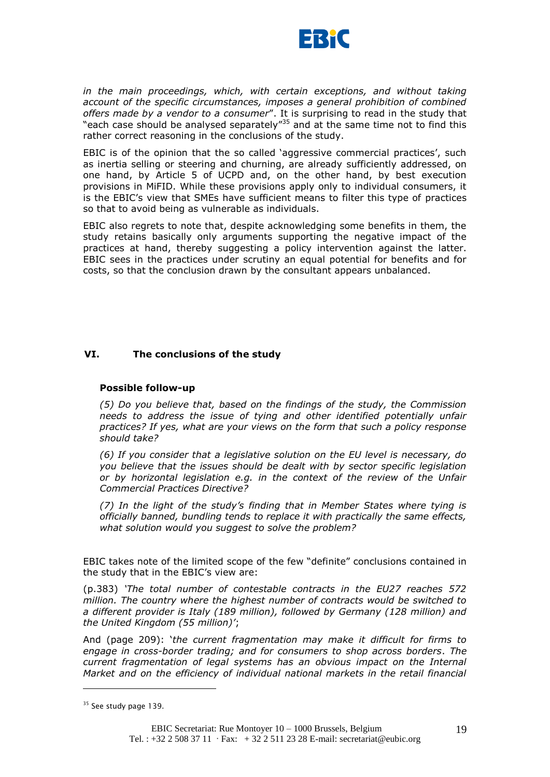

*in the main proceedings, which, with certain exceptions, and without taking account of the specific circumstances, imposes a general prohibition of combined offers made by a vendor to a consumer*". It is surprising to read in the study that "each case should be analysed separately"<sup>35</sup> and at the same time not to find this rather correct reasoning in the conclusions of the study.

EBIC is of the opinion that the so called 'aggressive commercial practices', such as inertia selling or steering and churning, are already sufficiently addressed, on one hand, by Article 5 of UCPD and, on the other hand, by best execution provisions in MiFID. While these provisions apply only to individual consumers, it is the EBIC"s view that SMEs have sufficient means to filter this type of practices so that to avoid being as vulnerable as individuals.

EBIC also regrets to note that, despite acknowledging some benefits in them, the study retains basically only arguments supporting the negative impact of the practices at hand, thereby suggesting a policy intervention against the latter. EBIC sees in the practices under scrutiny an equal potential for benefits and for costs, so that the conclusion drawn by the consultant appears unbalanced.

# **VI. The conclusions of the study**

#### **Possible follow-up**

*(5) Do you believe that, based on the findings of the study, the Commission needs to address the issue of tying and other identified potentially unfair practices? If yes, what are your views on the form that such a policy response should take?*

*(6) If you consider that a legislative solution on the EU level is necessary, do you believe that the issues should be dealt with by sector specific legislation or by horizontal legislation e.g. in the context of the review of the Unfair Commercial Practices Directive?*

*(7) In the light of the study"s finding that in Member States where tying is officially banned, bundling tends to replace it with practically the same effects, what solution would you suggest to solve the problem?*

EBIC takes note of the limited scope of the few "definite" conclusions contained in the study that in the EBIC"s view are:

(p.383) *"The total number of contestable contracts in the EU27 reaches 572 million. The country where the highest number of contracts would be switched to a different provider is Italy (189 million), followed by Germany (128 million) and the United Kingdom (55 million)"*;

And (page 209): "*the current fragmentation may make it difficult for firms to engage in cross-border trading; and for consumers to shop across borders*. *The current fragmentation of legal systems has an obvious impact on the Internal Market and on the efficiency of individual national markets in the retail financial* 

<sup>&</sup>lt;sup>35</sup> See study page 139.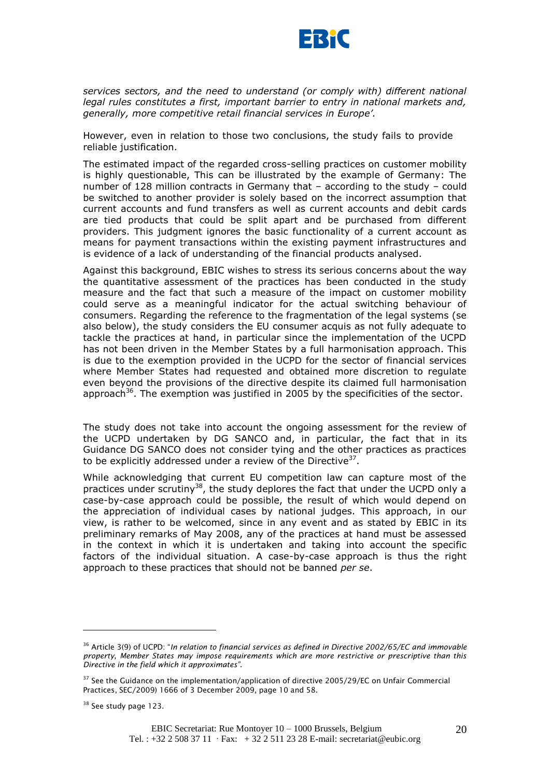

*services sectors, and the need to understand (or comply with) different national legal rules constitutes a first, important barrier to entry in national markets and, generally, more competitive retail financial services in Europe".*

However, even in relation to those two conclusions, the study fails to provide reliable justification.

The estimated impact of the regarded cross-selling practices on customer mobility is highly questionable, This can be illustrated by the example of Germany: The number of 128 million contracts in Germany that – according to the study – could be switched to another provider is solely based on the incorrect assumption that current accounts and fund transfers as well as current accounts and debit cards are tied products that could be split apart and be purchased from different providers. This judgment ignores the basic functionality of a current account as means for payment transactions within the existing payment infrastructures and is evidence of a lack of understanding of the financial products analysed.

Against this background, EBIC wishes to stress its serious concerns about the way the quantitative assessment of the practices has been conducted in the study measure and the fact that such a measure of the impact on customer mobility could serve as a meaningful indicator for the actual switching behaviour of consumers. Regarding the reference to the fragmentation of the legal systems (se also below), the study considers the EU consumer acquis as not fully adequate to tackle the practices at hand, in particular since the implementation of the UCPD has not been driven in the Member States by a full harmonisation approach. This is due to the exemption provided in the UCPD for the sector of financial services where Member States had requested and obtained more discretion to regulate even beyond the provisions of the directive despite its claimed full harmonisation approach<sup>36</sup>. The exemption was justified in 2005 by the specificities of the sector.

The study does not take into account the ongoing assessment for the review of the UCPD undertaken by DG SANCO and, in particular, the fact that in its Guidance DG SANCO does not consider tying and the other practices as practices to be explicitly addressed under a review of the Directive<sup>37</sup>.

While acknowledging that current EU competition law can capture most of the practices under scrutiny<sup>38</sup>, the study deplores the fact that under the UCPD only a case-by-case approach could be possible, the result of which would depend on the appreciation of individual cases by national judges. This approach, in our view, is rather to be welcomed, since in any event and as stated by EBIC in its preliminary remarks of May 2008, any of the practices at hand must be assessed in the context in which it is undertaken and taking into account the specific factors of the individual situation. A case-by-case approach is thus the right approach to these practices that should not be banned *per se*.

<sup>36</sup> Article 3(9) of UCPD: "*In relation to financial services as defined in Directive 2002/65/EC and immovable property, Member States may impose requirements which are more restrictive or prescriptive than this Directive in the field which it approximates"*.

 $37$  See the Guidance on the implementation/application of directive 2005/29/EC on Unfair Commercial Practices, SEC/2009) 1666 of 3 December 2009, page 10 and 58.

<sup>&</sup>lt;sup>38</sup> See study page 123.